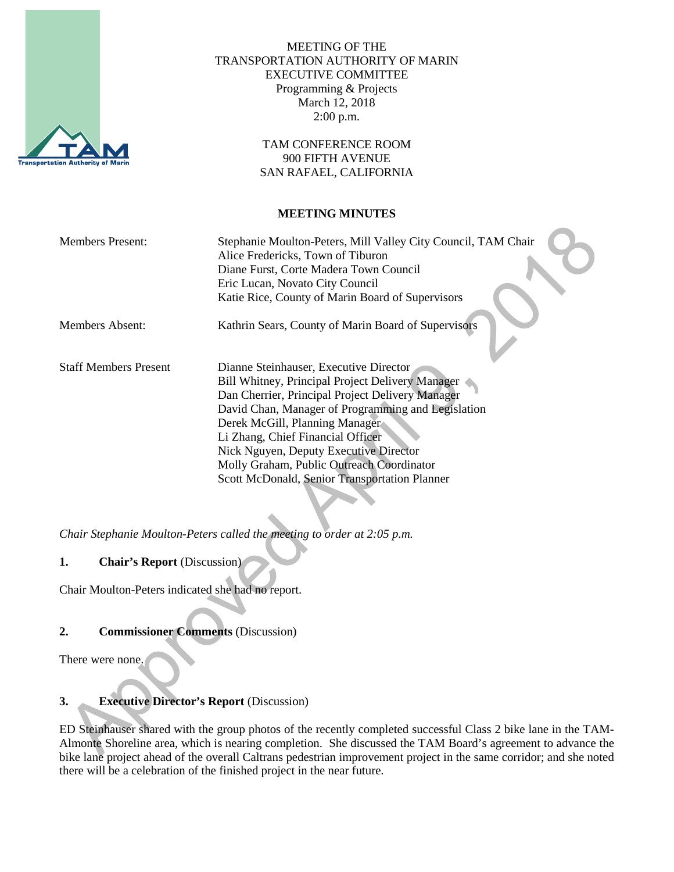

MEETING OF THE TRANSPORTATION AUTHORITY OF MARIN EXECUTIVE COMMITTEE Programming & Projects March 12, 2018 2:00 p.m.

> TAM CONFERENCE ROOM 900 FIFTH AVENUE SAN RAFAEL, CALIFORNIA

#### **MEETING MINUTES**

| <b>Members Present:</b>      | Stephanie Moulton-Peters, Mill Valley City Council, TAM Chair<br>Alice Fredericks, Town of Tiburon<br>Diane Furst, Corte Madera Town Council<br>Eric Lucan, Novato City Council<br>Katie Rice, County of Marin Board of Supervisors                                                                                                                                                                                 |
|------------------------------|---------------------------------------------------------------------------------------------------------------------------------------------------------------------------------------------------------------------------------------------------------------------------------------------------------------------------------------------------------------------------------------------------------------------|
| Members Absent:              | Kathrin Sears, County of Marin Board of Supervisors                                                                                                                                                                                                                                                                                                                                                                 |
| <b>Staff Members Present</b> | Dianne Steinhauser, Executive Director<br>Bill Whitney, Principal Project Delivery Manager<br>Dan Cherrier, Principal Project Delivery Manager<br>David Chan, Manager of Programming and Legislation<br>Derek McGill, Planning Manager<br>Li Zhang, Chief Financial Officer<br>Nick Nguyen, Deputy Executive Director<br>Molly Graham, Public Outreach Coordinator<br>Scott McDonald, Senior Transportation Planner |

*Chair Stephanie Moulton-Peters called the meeting to order at 2:05 p.m.*

**1. Chair's Report** (Discussion)

Chair Moulton-Peters indicated she had no report.

# **2. Commissioner Comments** (Discussion)

There were none.

# **3. Executive Director's Report** (Discussion)

ED Steinhauser shared with the group photos of the recently completed successful Class 2 bike lane in the TAM-Almonte Shoreline area, which is nearing completion. She discussed the TAM Board's agreement to advance the bike lane project ahead of the overall Caltrans pedestrian improvement project in the same corridor; and she noted there will be a celebration of the finished project in the near future.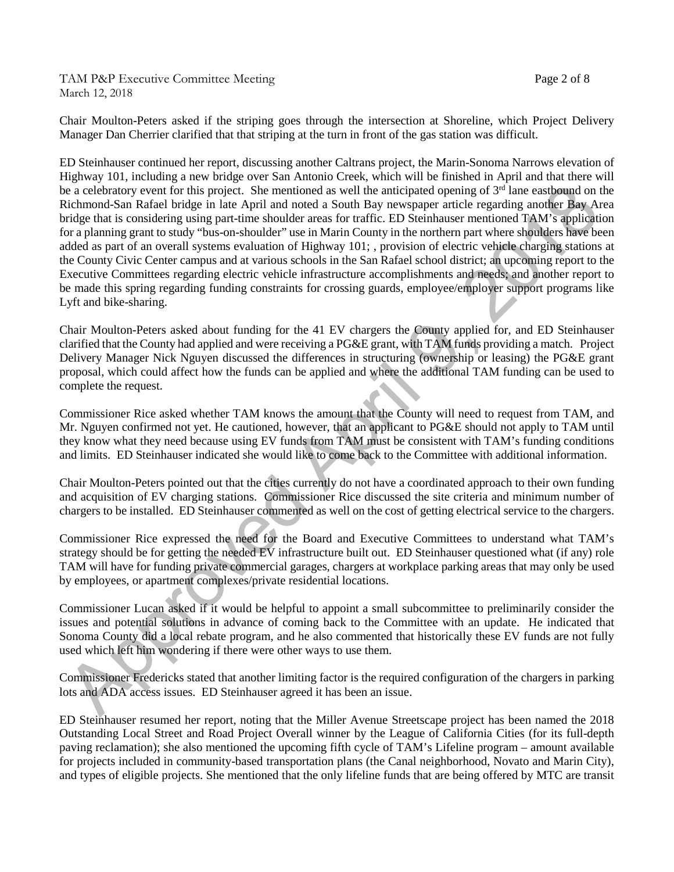TAM P&P Executive Committee Meeting Page 2 of 8 March 12, 2018

Chair Moulton-Peters asked if the striping goes through the intersection at Shoreline, which Project Delivery Manager Dan Cherrier clarified that that striping at the turn in front of the gas station was difficult.

ED Steinhauser continued her report, discussing another Caltrans project, the Marin-Sonoma Narrows elevation of Highway 101, including a new bridge over San Antonio Creek, which will be finished in April and that there will be a celebratory event for this project. She mentioned as well the anticipated opening of  $3<sup>rd</sup>$  lane eastbound on the Richmond-San Rafael bridge in late April and noted a South Bay newspaper article regarding another Bay Area bridge that is considering using part-time shoulder areas for traffic. ED Steinhauser mentioned TAM's application for a planning grant to study "bus-on-shoulder" use in Marin County in the northern part where shoulders have been added as part of an overall systems evaluation of Highway 101; , provision of electric vehicle charging stations at the County Civic Center campus and at various schools in the San Rafael school district; an upcoming report to the Executive Committees regarding electric vehicle infrastructure accomplishments and needs; and another report to be made this spring regarding funding constraints for crossing guards, employee/employer support programs like Lyft and bike-sharing.

Chair Moulton-Peters asked about funding for the 41 EV chargers the County applied for, and ED Steinhauser clarified that the County had applied and were receiving a PG&E grant, with TAM funds providing a match. Project Delivery Manager Nick Nguyen discussed the differences in structuring (ownership or leasing) the PG&E grant proposal, which could affect how the funds can be applied and where the additional TAM funding can be used to complete the request.

Commissioner Rice asked whether TAM knows the amount that the County will need to request from TAM, and Mr. Nguyen confirmed not yet. He cautioned, however, that an applicant to PG&E should not apply to TAM until they know what they need because using EV funds from TAM must be consistent with TAM's funding conditions and limits. ED Steinhauser indicated she would like to come back to the Committee with additional information.

Chair Moulton-Peters pointed out that the cities currently do not have a coordinated approach to their own funding and acquisition of EV charging stations. Commissioner Rice discussed the site criteria and minimum number of chargers to be installed. ED Steinhauser commented as well on the cost of getting electrical service to the chargers.

Commissioner Rice expressed the need for the Board and Executive Committees to understand what TAM's strategy should be for getting the needed EV infrastructure built out. ED Steinhauser questioned what (if any) role TAM will have for funding private commercial garages, chargers at workplace parking areas that may only be used by employees, or apartment complexes/private residential locations.

Commissioner Lucan asked if it would be helpful to appoint a small subcommittee to preliminarily consider the issues and potential solutions in advance of coming back to the Committee with an update. He indicated that Sonoma County did a local rebate program, and he also commented that historically these EV funds are not fully used which left him wondering if there were other ways to use them.

Commissioner Fredericks stated that another limiting factor is the required configuration of the chargers in parking lots and ADA access issues. ED Steinhauser agreed it has been an issue.

ED Steinhauser resumed her report, noting that the Miller Avenue Streetscape project has been named the 2018 Outstanding Local Street and Road Project Overall winner by the League of California Cities (for its full-depth paving reclamation); she also mentioned the upcoming fifth cycle of TAM's Lifeline program – amount available for projects included in community-based transportation plans (the Canal neighborhood, Novato and Marin City), and types of eligible projects. She mentioned that the only lifeline funds that are being offered by MTC are transit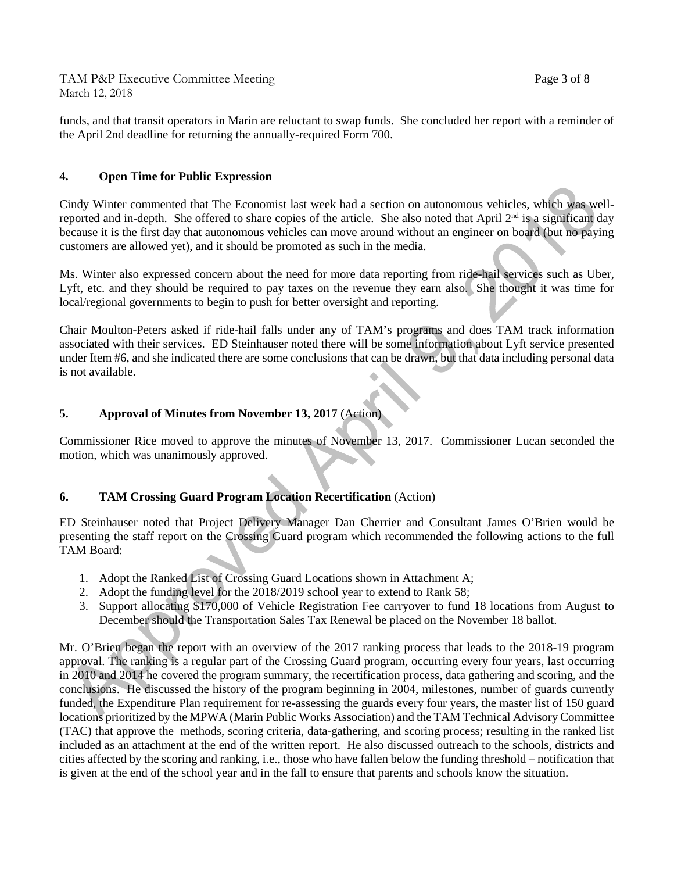TAM P&P Executive Committee Meeting Page 3 of 8 March 12, 2018

funds, and that transit operators in Marin are reluctant to swap funds. She concluded her report with a reminder of the April 2nd deadline for returning the annually-required Form 700.

### **4. Open Time for Public Expression**

Cindy Winter commented that The Economist last week had a section on autonomous vehicles, which was wellreported and in-depth. She offered to share copies of the article. She also noted that April  $2<sup>nd</sup>$  is a significant day because it is the first day that autonomous vehicles can move around without an engineer on board (but no paying customers are allowed yet), and it should be promoted as such in the media.

Ms. Winter also expressed concern about the need for more data reporting from ride-hail services such as Uber, Lyft, etc. and they should be required to pay taxes on the revenue they earn also. She thought it was time for local/regional governments to begin to push for better oversight and reporting.

Chair Moulton-Peters asked if ride-hail falls under any of TAM's programs and does TAM track information associated with their services. ED Steinhauser noted there will be some information about Lyft service presented under Item #6, and she indicated there are some conclusions that can be drawn, but that data including personal data is not available.

### **5. Approval of Minutes from November 13, 2017** (Action)

Commissioner Rice moved to approve the minutes of November 13, 2017. Commissioner Lucan seconded the motion, which was unanimously approved.

# **6. TAM Crossing Guard Program Location Recertification** (Action)

ED Steinhauser noted that Project Delivery Manager Dan Cherrier and Consultant James O'Brien would be presenting the staff report on the Crossing Guard program which recommended the following actions to the full TAM Board:

- 1. Adopt the Ranked List of Crossing Guard Locations shown in Attachment A;
- 2. Adopt the funding level for the 2018/2019 school year to extend to Rank 58;
- 3. Support allocating \$170,000 of Vehicle Registration Fee carryover to fund 18 locations from August to December should the Transportation Sales Tax Renewal be placed on the November 18 ballot.

Mr. O'Brien began the report with an overview of the 2017 ranking process that leads to the 2018-19 program approval. The ranking is a regular part of the Crossing Guard program, occurring every four years, last occurring in 2010 and 2014 he covered the program summary, the recertification process, data gathering and scoring, and the conclusions. He discussed the history of the program beginning in 2004, milestones, number of guards currently funded, the Expenditure Plan requirement for re-assessing the guards every four years, the master list of 150 guard locations prioritized by the MPWA (Marin Public Works Association) and the TAM Technical Advisory Committee (TAC) that approve the methods, scoring criteria, data-gathering, and scoring process; resulting in the ranked list included as an attachment at the end of the written report. He also discussed outreach to the schools, districts and cities affected by the scoring and ranking, i.e., those who have fallen below the funding threshold – notification that is given at the end of the school year and in the fall to ensure that parents and schools know the situation.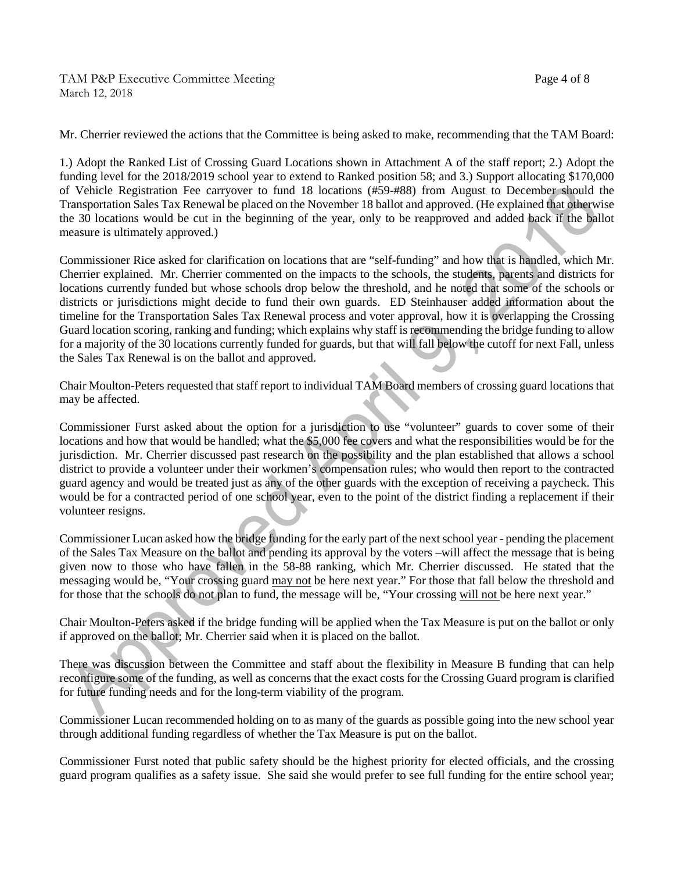Mr. Cherrier reviewed the actions that the Committee is being asked to make, recommending that the TAM Board:

1.) Adopt the Ranked List of Crossing Guard Locations shown in Attachment A of the staff report; 2.) Adopt the funding level for the 2018/2019 school year to extend to Ranked position 58; and 3.) Support allocating \$170,000 of Vehicle Registration Fee carryover to fund 18 locations (#59-#88) from August to December should the Transportation Sales Tax Renewal be placed on the November 18 ballot and approved. (He explained that otherwise the 30 locations would be cut in the beginning of the year, only to be reapproved and added back if the ballot measure is ultimately approved.)

Commissioner Rice asked for clarification on locations that are "self-funding" and how that is handled, which Mr. Cherrier explained. Mr. Cherrier commented on the impacts to the schools, the students, parents and districts for locations currently funded but whose schools drop below the threshold, and he noted that some of the schools or districts or jurisdictions might decide to fund their own guards. ED Steinhauser added information about the timeline for the Transportation Sales Tax Renewal process and voter approval, how it is overlapping the Crossing Guard location scoring, ranking and funding; which explains why staff is recommending the bridge funding to allow for a majority of the 30 locations currently funded for guards, but that will fall below the cutoff for next Fall, unless the Sales Tax Renewal is on the ballot and approved.

Chair Moulton-Peters requested that staff report to individual TAM Board members of crossing guard locations that may be affected.

Commissioner Furst asked about the option for a jurisdiction to use "volunteer" guards to cover some of their locations and how that would be handled; what the \$5,000 fee covers and what the responsibilities would be for the jurisdiction. Mr. Cherrier discussed past research on the possibility and the plan established that allows a school district to provide a volunteer under their workmen's compensation rules; who would then report to the contracted guard agency and would be treated just as any of the other guards with the exception of receiving a paycheck. This would be for a contracted period of one school year, even to the point of the district finding a replacement if their volunteer resigns.

Commissioner Lucan asked how the bridge funding for the early part of the next school year - pending the placement of the Sales Tax Measure on the ballot and pending its approval by the voters –will affect the message that is being given now to those who have fallen in the 58-88 ranking, which Mr. Cherrier discussed. He stated that the messaging would be, "Your crossing guard may not be here next year." For those that fall below the threshold and for those that the schools do not plan to fund, the message will be, "Your crossing will not be here next year."

Chair Moulton-Peters asked if the bridge funding will be applied when the Tax Measure is put on the ballot or only if approved on the ballot; Mr. Cherrier said when it is placed on the ballot.

There was discussion between the Committee and staff about the flexibility in Measure B funding that can help reconfigure some of the funding, as well as concerns that the exact costs for the Crossing Guard program is clarified for future funding needs and for the long-term viability of the program.

Commissioner Lucan recommended holding on to as many of the guards as possible going into the new school year through additional funding regardless of whether the Tax Measure is put on the ballot.

Commissioner Furst noted that public safety should be the highest priority for elected officials, and the crossing guard program qualifies as a safety issue. She said she would prefer to see full funding for the entire school year;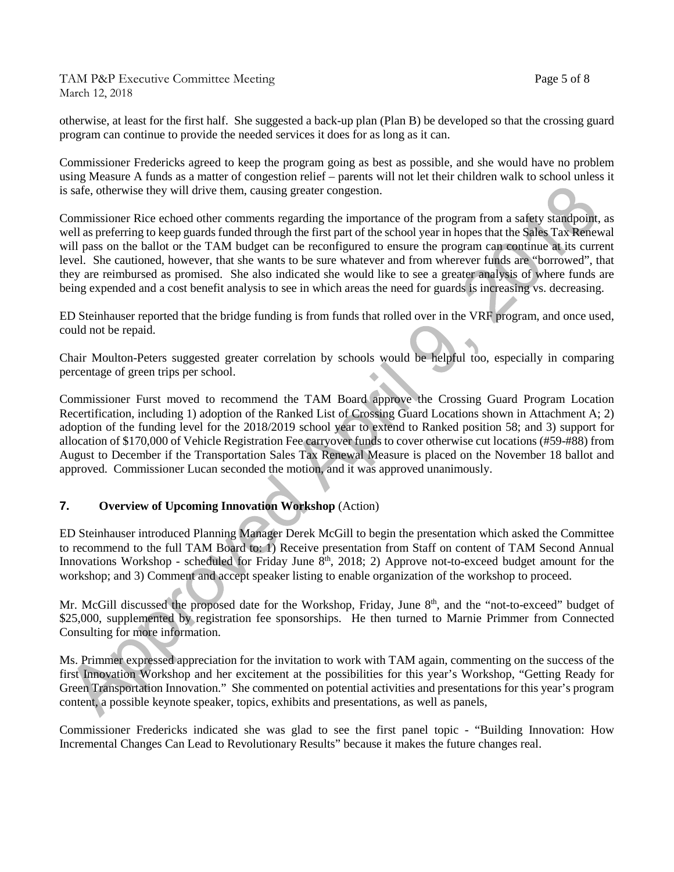TAM P&P Executive Committee Meeting Page 5 of 8 March 12, 2018

otherwise, at least for the first half. She suggested a back-up plan (Plan B) be developed so that the crossing guard program can continue to provide the needed services it does for as long as it can.

Commissioner Fredericks agreed to keep the program going as best as possible, and she would have no problem using Measure A funds as a matter of congestion relief – parents will not let their children walk to school unless it is safe, otherwise they will drive them, causing greater congestion.

Commissioner Rice echoed other comments regarding the importance of the program from a safety standpoint, as well as preferring to keep guards funded through the first part of the school year in hopes that the Sales Tax Renewal will pass on the ballot or the TAM budget can be reconfigured to ensure the program can continue at its current level. She cautioned, however, that she wants to be sure whatever and from wherever funds are "borrowed", that they are reimbursed as promised. She also indicated she would like to see a greater analysis of where funds are being expended and a cost benefit analysis to see in which areas the need for guards is increasing vs. decreasing.

ED Steinhauser reported that the bridge funding is from funds that rolled over in the VRF program, and once used, could not be repaid.

Chair Moulton-Peters suggested greater correlation by schools would be helpful too, especially in comparing percentage of green trips per school.

Commissioner Furst moved to recommend the TAM Board approve the Crossing Guard Program Location Recertification, including 1) adoption of the Ranked List of Crossing Guard Locations shown in Attachment A; 2) adoption of the funding level for the 2018/2019 school year to extend to Ranked position 58; and 3) support for allocation of \$170,000 of Vehicle Registration Fee carryover funds to cover otherwise cut locations (#59-#88) from August to December if the Transportation Sales Tax Renewal Measure is placed on the November 18 ballot and approved. Commissioner Lucan seconded the motion, and it was approved unanimously.

# **7. Overview of Upcoming Innovation Workshop** (Action)

ED Steinhauser introduced Planning Manager Derek McGill to begin the presentation which asked the Committee to recommend to the full TAM Board to: 1) Receive presentation from Staff on content of TAM Second Annual Innovations Workshop - scheduled for Friday June  $8<sup>th</sup>$ , 2018; 2) Approve not-to-exceed budget amount for the workshop; and 3) Comment and accept speaker listing to enable organization of the workshop to proceed.

Mr. McGill discussed the proposed date for the Workshop, Friday, June 8<sup>th</sup>, and the "not-to-exceed" budget of \$25,000, supplemented by registration fee sponsorships. He then turned to Marnie Primmer from Connected Consulting for more information.

Ms. Primmer expressed appreciation for the invitation to work with TAM again, commenting on the success of the first Innovation Workshop and her excitement at the possibilities for this year's Workshop, "Getting Ready for Green Transportation Innovation." She commented on potential activities and presentations for this year's program content, a possible keynote speaker, topics, exhibits and presentations, as well as panels,

Commissioner Fredericks indicated she was glad to see the first panel topic - "Building Innovation: How Incremental Changes Can Lead to Revolutionary Results" because it makes the future changes real.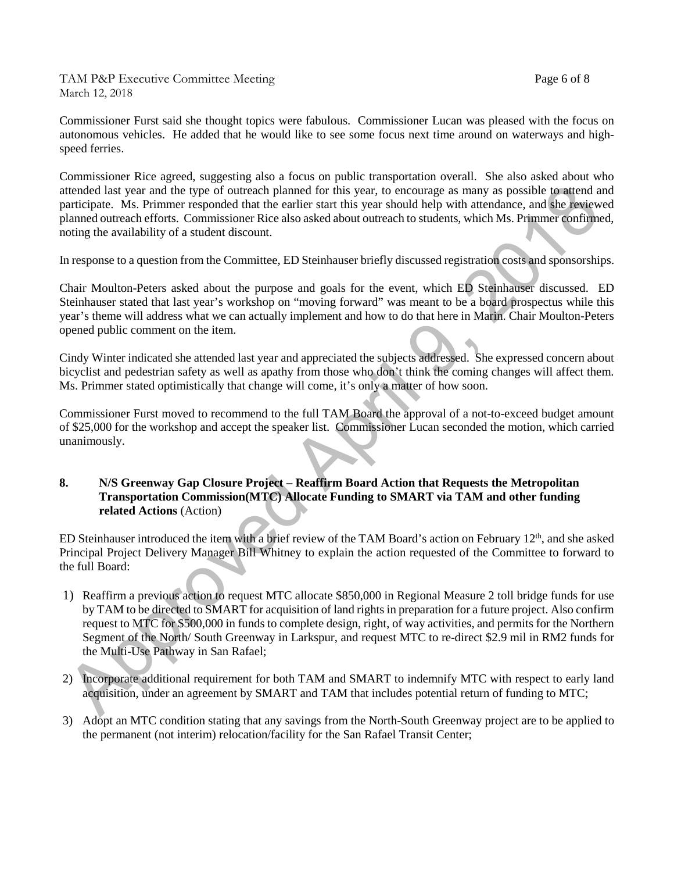TAM P&P Executive Committee Meeting Page 6 of 8 March 12, 2018

Commissioner Furst said she thought topics were fabulous. Commissioner Lucan was pleased with the focus on autonomous vehicles. He added that he would like to see some focus next time around on waterways and highspeed ferries.

Commissioner Rice agreed, suggesting also a focus on public transportation overall. She also asked about who attended last year and the type of outreach planned for this year, to encourage as many as possible to attend and participate. Ms. Primmer responded that the earlier start this year should help with attendance, and she reviewed planned outreach efforts. Commissioner Rice also asked about outreach to students, which Ms. Primmer confirmed, noting the availability of a student discount.

In response to a question from the Committee, ED Steinhauser briefly discussed registration costs and sponsorships.

Chair Moulton-Peters asked about the purpose and goals for the event, which ED Steinhauser discussed. ED Steinhauser stated that last year's workshop on "moving forward" was meant to be a board prospectus while this year's theme will address what we can actually implement and how to do that here in Marin. Chair Moulton-Peters opened public comment on the item.

Cindy Winter indicated she attended last year and appreciated the subjects addressed. She expressed concern about bicyclist and pedestrian safety as well as apathy from those who don't think the coming changes will affect them. Ms. Primmer stated optimistically that change will come, it's only a matter of how soon.

Commissioner Furst moved to recommend to the full TAM Board the approval of a not-to-exceed budget amount of \$25,000 for the workshop and accept the speaker list. Commissioner Lucan seconded the motion, which carried unanimously.

#### **8. N/S Greenway Gap Closure Project – Reaffirm Board Action that Requests the Metropolitan Transportation Commission(MTC) Allocate Funding to SMART via TAM and other funding related Actions** (Action)

ED Steinhauser introduced the item with a brief review of the TAM Board's action on February 12<sup>th</sup>, and she asked Principal Project Delivery Manager Bill Whitney to explain the action requested of the Committee to forward to the full Board:

- 1) Reaffirm a previous action to request MTC allocate \$850,000 in Regional Measure 2 toll bridge funds for use by TAM to be directed to SMART for acquisition of land rights in preparation for a future project. Also confirm request to MTC for \$500,000 in funds to complete design, right, of way activities, and permits for the Northern Segment of the North/ South Greenway in Larkspur, and request MTC to re-direct \$2.9 mil in RM2 funds for the Multi-Use Pathway in San Rafael;
- 2) Incorporate additional requirement for both TAM and SMART to indemnify MTC with respect to early land acquisition, under an agreement by SMART and TAM that includes potential return of funding to MTC;
- 3) Adopt an MTC condition stating that any savings from the North-South Greenway project are to be applied to the permanent (not interim) relocation/facility for the San Rafael Transit Center;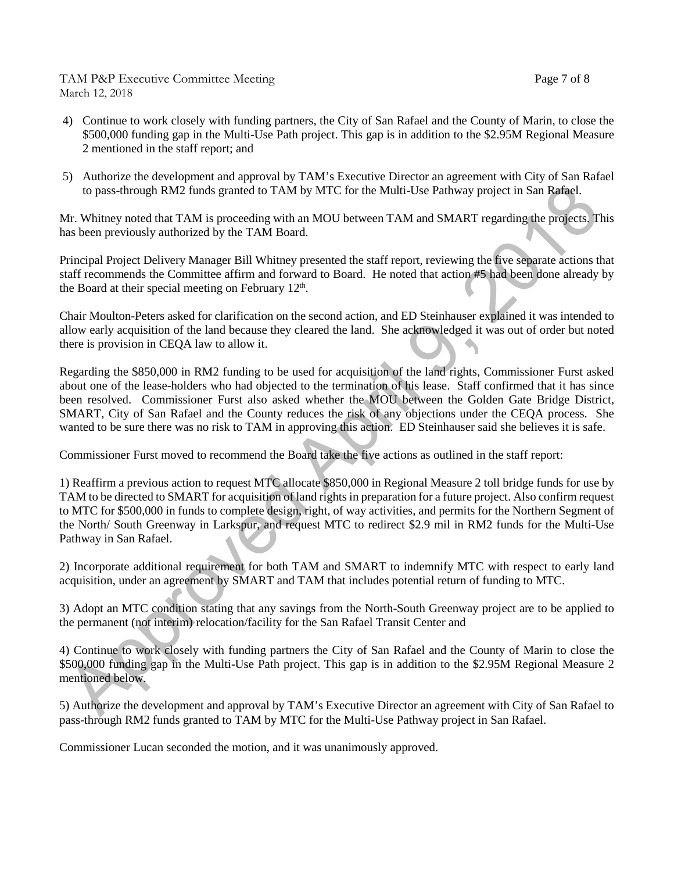### TAM P&P Executive Committee Meeting Page 7 of 8 March 12, 2018

- 4) Continue to work closely with funding partners, the City of San Rafael and the County of Marin, to close the \$500,000 funding gap in the Multi-Use Path project. This gap is in addition to the \$2.95M Regional Measure 2 mentioned in the staff report; and
- 5) Authorize the development and approval by TAM's Executive Director an agreement with City of San Rafael to pass-through RM2 funds granted to TAM by MTC for the Multi-Use Pathway project in San Rafael.

Mr. Whitney noted that TAM is proceeding with an MOU between TAM and SMART regarding the projects. This has been previously authorized by the TAM Board.

Principal Project Delivery Manager Bill Whitney presented the staff report, reviewing the five separate actions that staff recommends the Committee affirm and forward to Board. He noted that action #5 had been done already by the Board at their special meeting on February  $12<sup>th</sup>$ .

Chair Moulton-Peters asked for clarification on the second action, and ED Steinhauser explained it was intended to allow early acquisition of the land because they cleared the land. She acknowledged it was out of order but noted there is provision in CEQA law to allow it.

Regarding the \$850,000 in RM2 funding to be used for acquisition of the land rights, Commissioner Furst asked about one of the lease-holders who had objected to the termination of his lease. Staff confirmed that it has since been resolved. Commissioner Furst also asked whether the MOU between the Golden Gate Bridge District, SMART, City of San Rafael and the County reduces the risk of any objections under the CEQA process. She wanted to be sure there was no risk to TAM in approving this action. ED Steinhauser said she believes it is safe.

Commissioner Furst moved to recommend the Board take the five actions as outlined in the staff report:

1) Reaffirm a previous action to request MTC allocate \$850,000 in Regional Measure 2 toll bridge funds for use by TAM to be directed to SMART for acquisition of land rights in preparation for a future project. Also confirm request to MTC for \$500,000 in funds to complete design, right, of way activities, and permits for the Northern Segment of the North/ South Greenway in Larkspur, and request MTC to redirect \$2.9 mil in RM2 funds for the Multi-Use Pathway in San Rafael.

2) Incorporate additional requirement for both TAM and SMART to indemnify MTC with respect to early land acquisition, under an agreement by SMART and TAM that includes potential return of funding to MTC.

3) Adopt an MTC condition stating that any savings from the North-South Greenway project are to be applied to the permanent (not interim) relocation/facility for the San Rafael Transit Center and

4) Continue to work closely with funding partners the City of San Rafael and the County of Marin to close the \$500,000 funding gap in the Multi-Use Path project. This gap is in addition to the \$2.95M Regional Measure 2 mentioned below.

5) Authorize the development and approval by TAM's Executive Director an agreement with City of San Rafael to pass-through RM2 funds granted to TAM by MTC for the Multi-Use Pathway project in San Rafael.

Commissioner Lucan seconded the motion, and it was unanimously approved.